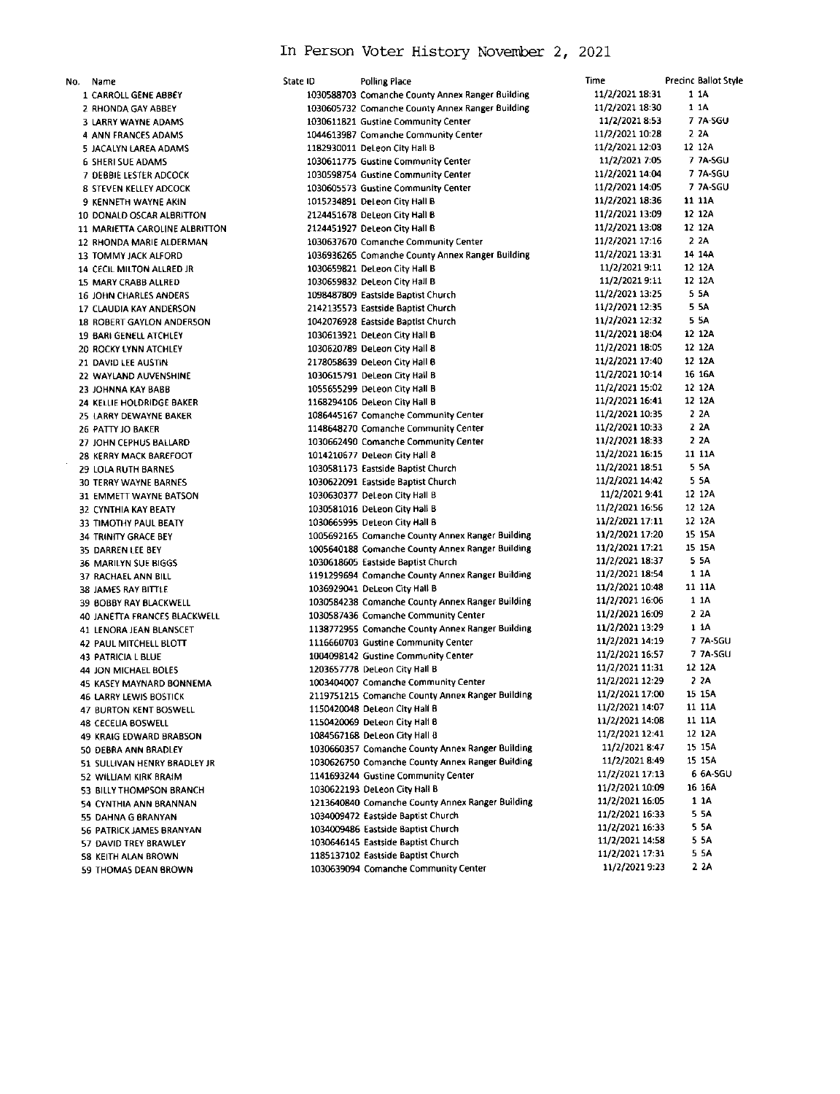## In Person Voter History November 2, 2021

No. Name 1 CARROLL GENE ABBEY 2 RHONDA GAY ABBEY 3 LARRY WAYNE ADAMS 4 ANN FRANCES ADAMS 5 JACALYN LAREA ADAMS 6 SHERI SUE ADAMS 7 DEBBIE LESTER ADCOCK 8 STEVEN KELLEY ADCOCK 9 KENNETH WAYNE AKIN 10 DONALD OSCAR ALBRITTON 11 MARIETTA CAROLINE ALBRITTON 12 RHONDA MARIE ALDERMAN 13 TOMMY JACK ALFORD 14 CECIL MILTON ALLRED JR 15 MARY CRABB ALLRED 16 JOHN CHARLES ANDERS 17 CLAUDIA KAY ANDERSON 18 ROBERT GAYLON ANDERSON 19 BARI GENELL ATCHLEY 20 ROCKY LYNN ATCHLEY 21 DAVID LEE AUSTIN 22 WAYLAND AUVENSHINE 23 JOHNNA KAY BABB 24 KELLIE HOLDRIDGE BAKER 25 LARRY DEWAYNE BAKER 26 PATTY JO BAKER 27 JOHN CEPHUS BALLARD 28 KERRY MACK BAREFOOT 29 LOLA RUTH BARNES **30 TERRY WAYNE BARNES** 31 EMMETT WAYNE BATSON 32 CYNTHIA KAY BEATY 33 TIMOTHY PAUL BEATY 34 TRINITY GRACE BEY 35 DARREN LEE BEY 36 MARILYN SUE BIGGS 37 RACHAEL ANN BILL 38 JAMES RAY BITTLE 39 BOBBY RAY BLACKWELL 40 JANETTA FRANCES BLACKWELL 41 LENORA JEAN BLANSCET 42 PAUL MITCHELL BLOTT 43 PATRICIA L BLUE 44 JON MICHAEL BOLES 45 KASEY MAYNARD BONNEMA **46 LARRY LEWIS BOSTICK** 47 BURTON KENT BOSWELL 48 CECELIA BOSWELL 49 KRAIG EDWARD BRABSON 50 DEBRA ANN BRADLEY 51 SULLIVAN HENRY BRADLEY JR 52 WILLIAM KIRK BRAIM 53 BILLY THOMPSON BRANCH 54 CYNTHIA ANN BRANNAN 55 DAHNA G BRANYAN 56 PATRICK JAMES BRANYAN 57 DAVID TREY BRAWLEY 58 KEITH ALAN BROWN 59 THOMAS DEAN BROWN

| State ID | <b>Polling Place</b>                                                       | Time                               | <b>Precinc Ballot Style</b> |
|----------|----------------------------------------------------------------------------|------------------------------------|-----------------------------|
|          | 1030588703 Comanche County Annex Ranger Building                           | 11/2/2021 18:31                    | 1 1 A                       |
|          | 1030605732 Comanche County Annex Ranger Building                           | 11/2/2021 18:30                    | 11A                         |
|          | 1030611821 Gustine Community Center                                        | 11/2/2021 8:53                     | 7 7A-SGU                    |
|          | 1044613987 Comanche Community Center                                       | 11/2/2021 10:28                    | 2 2 A                       |
|          | 1182930011 DeLeon City Hall B                                              | 11/2/2021 12:03                    | 12 12A                      |
|          | 1030611775 Gustine Community Center                                        | 11/2/2021 7:05                     | 7 7A-SGU                    |
|          | 1030598754 Gustine Community Center                                        | 11/2/2021 14:04                    | 7 7A-SGU                    |
|          | 1030605573 Gustine Community Center                                        | 11/2/2021 14:05                    | 7 7A-SGU                    |
|          | 1015234891 DeLeon City Hall B                                              | 11/2/2021 18:36                    | 11 11A                      |
|          | 2124451678 DeLeon City Hall B                                              | 11/2/2021 13:09                    | 12 12A                      |
|          | 2124451927 DeLeon City Hall B                                              | 11/2/2021 13:08                    | 12 12A                      |
|          | 1030637670 Comanche Community Center                                       | 11/2/2021 17:16                    | 2 2A                        |
|          | 1036936265 Comanche County Annex Ranger Building                           | 11/2/2021 13:31                    | 14 14A                      |
|          | 1030659821 DeLeon City Hall B                                              | 11/2/2021 9:11                     | 12 12A                      |
|          | 1030659832 DeLeon City Hall B                                              | 11/2/2021 9:11                     | 12 12A                      |
|          |                                                                            | 11/2/2021 13:25                    | 5.5A                        |
|          | 1098487809 Eastside Baotist Church                                         | 11/2/2021 12:35                    | 5 5A                        |
|          | 2142135573 Eastside Baptist Church                                         | 11/2/2021 12:32                    | 5 SA                        |
|          | 1042076928 Eastside Baptist Church                                         |                                    | 12 12A                      |
|          | 1030613921 DeLeon City Hall B                                              | 11/2/2021 18:04<br>11/2/2021 18:05 | 12 12A                      |
|          | 1030620789 DeLeon City Hall B                                              |                                    |                             |
|          | 2178058639 DeLeon City Hall B                                              | 11/2/2021 17:40                    | 12 12A                      |
|          | 1030615791 DeLeon City Hall B                                              | 11/2/2021 10:14                    | 16 16A                      |
|          | 1055655299 DeLeon City Hall B                                              | 11/2/2021 15:02                    | 12 12A                      |
|          | 1168294106 DeLeon City Hall B                                              | 11/2/2021 16:41                    | 12 12A                      |
|          | 1086445167 Comanche Community Center                                       | 11/2/2021 10:35                    | 2 2A                        |
|          | 1148648270 Comanche Community Center                                       | 11/2/2021 10:33                    | 2 2A                        |
|          | 1030662490 Comanche Community Center                                       | 11/2/2021 18:33                    | 2 2A                        |
|          | 1014210677 DeLeon City Hall B                                              | 11/2/2021 16:15                    | 11 11A                      |
|          | 1030581173 Eastside Baptist Church                                         | 11/2/2021 18:51                    | 5 5A                        |
|          | 1030622091 Eastside Baptist Church                                         | 11/2/2021 14:42                    | 5 5A                        |
|          | 1030630377 DeLeon City Hall B                                              | 11/2/2021 9:41                     | 12 12A                      |
|          | 1030581016 DeLeon City Hall B                                              | 11/2/2021 16:56                    | 12 12A                      |
|          | 1030665995 DeLeon City Hall B                                              | 11/2/2021 17:11                    | 12 12A                      |
|          | 1005692165 Comanche County Annex Ranger Building                           | 11/2/2021 17:20                    | 15 15A                      |
|          | 1005640188 Comanche County Annex Ranger Building                           | 11/2/2021 17:21                    | 15 15A                      |
|          | 1030618605 Eastside Baptist Church                                         | 11/2/2021 18:37                    | 5 SA                        |
|          | 1191299694 Comanche County Annex Ranger Building                           | 11/2/2021 18:54                    | 1 1 A                       |
|          | 1036929041 DeLeon City Hall B                                              | 11/2/2021 10:48                    | 11 11A                      |
|          | 1030584238 Comanche County Annex Ranger Building                           | 11/2/2021 16:06                    | 1 1 A                       |
|          | 1030587436 Comanche Community Center                                       | 11/2/2021 16:09                    | 2 2A                        |
|          | 1138772955 Comanche County Annex Ranger Building                           | 11/2/2021 13:29                    | 1 1A                        |
|          | 1116660703 Gustine Community Center                                        | 11/2/2021 14:19                    | 7 7A SGU                    |
|          | 1004098142 Gustine Community Center                                        | 11/2/2021 16:57                    | 7 7A SGU                    |
|          | 1203657778 DeLeon City Hall B                                              | 11/2/2021 11:31                    | 12 12A                      |
|          | 1003404007 Comanche Community Center                                       | 11/2/2021 12:29                    | 2 ZA                        |
|          | 2119751215 Comanche County Annex Ranger Building                           | 11/2/2021 17:00                    | 15 15A                      |
|          | 1150420048 DeLeon City Hall B                                              | 11/2/2021 14:07                    | 11 11A                      |
|          | 1150420069 DeLeon City Hall B                                              | 11/2/2021 14:08                    | 11 11A                      |
|          | 1084567168 DeLeon City Hall B                                              | 11/2/2021 12:41                    | 12 12A                      |
|          | 1030660357 Comanche County Annex Ranger Building                           | 11/2/2021 8:47                     | 15 15A                      |
|          | 1030626750 Comanche County Annex Ranger Building                           | 11/2/2021 8:49                     | 15 15A                      |
|          | 1141693244 Gustine Community Center                                        | 11/2/2021 17:13                    | 6 6A-SGU                    |
|          | 1030622193 DeLeon City Hall B                                              | 11/2/2021 10:09                    | 16 16A                      |
|          | 1213640840 Comanche County Annex Ranger Building                           | 11/2/2021 16:05                    | 1 1 A                       |
|          | 1034009472 Eastside Baptist Church                                         | 11/2/2021 16:33                    | 5 5A                        |
|          | 1034009486 Eastside Baptist Church                                         | 11/2/2021 16:33                    | 5 SA                        |
|          |                                                                            | 11/2/2021 14:58                    | 5 5A                        |
|          | 1030646145 Eastside Baptist Church                                         | 11/2/2021 17:31                    | 5 SA                        |
|          | 1185137102 Eastside Baptist Church<br>1030639094 Comanche Community Center | 11/2/2021 9:23                     | 2 ZA                        |
|          |                                                                            |                                    |                             |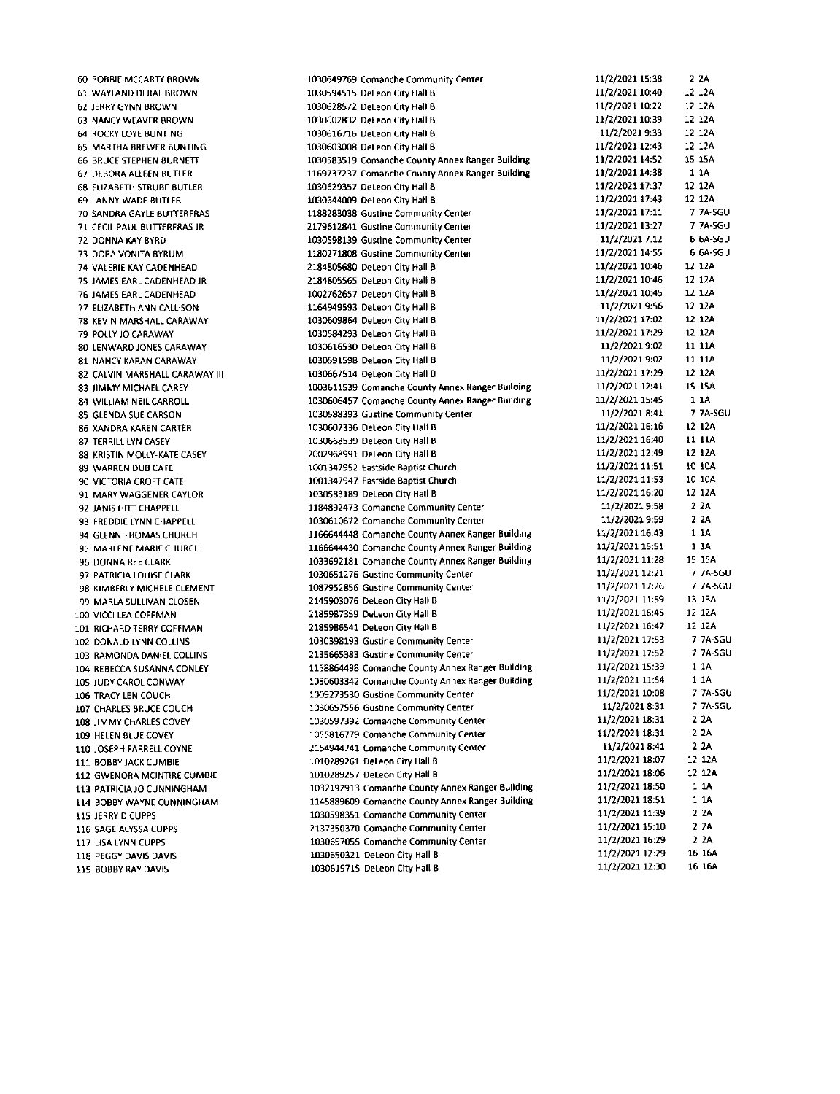**60 BOBBIE MCCARTY BROWN** 61 WAYLAND DERAL BROWN 62 JERRY GYNN BROWN 63 NANCY WEAVER BROWN 64 ROCKY LOYE BUNTING **65 MARTHA BREWER BUNTING 66 BRUCE STEPHEN BURNETT** 67 DEBORA ALLEEN BUTLER 68 ELIZABETH STRUBE BUTLER 69 LANNY WADE BUTLER **70 SANDRA GAYLE BUTTERFRAS** 71 CECIL PAUL BUTTERFRAS JR 72 DONNA KAY BYRD 73 DORA VONITA BYRLIM 74 VALERIE KAY CADENHEAD 75 JAMES EARL CADENHEAD JR 76 JAMES EARL CADENHEAD 77 ELIZABETH ANN CALLISON 78 KEVIN MARSHALL CARAWAY **79 POLLY IO CARAWAY** 80 LENWARD JONES CARAWAY 81 NANCY KARAN CARAWAY 82 CALVIN MARSHALL CARAWAY III 83 JIMMY MICHAEL CAREY 84 WILLIAM NEIL CARROLL 85 GLENDA SUE CARSON **86 XANDRA KAREN CARTER 87 TERRILL LYN CASEY** 88 KRISTIN MOLLY-KATE CASEY 89 WARREN DUB CATE 90 VICTORIA CROFT CATE 91 MARY WAGGENER CAYLOR 92 JANIS HITT CHAPPELL 93 FREDDIE LYNN CHAPPELL 94 GLENN THOMAS CHURCH 95 MARLENE MARIE CHURCH 96 DONNA REE CLARK 97 PATRICIA LOUISE CLARK 98 KIMBERLY MICHELE CLEMENT 99 MARLA SULLIVAN CLOSEN 100 VICCLIEA COFFMAN 101 RICHARD TERRY COFFMAN 102 DONALD LYNN COLLINS 103 RAMONDA DANIEL COLLINS 104 REBECCA SUSANNA CONLEY 105 JUDY CAROL CONWAY 106 TRACY LEN COUCH 107 CHARLES BRUCE COUCH 108 JIMMY CHARLES COVEY 109 HELEN BLUE COVEY 110 JOSEPH FARRELL COYNE 111 BOBBY JACK CUMBIE 112 GWENORA MCINTIRE CUMBIE 113 PATRICIA JO CUNNINGHAM 114 BOBBY WAYNE CUNNINGHAM 115 JERRY DICUPPS 116 SAGE ALYSSA CUPPS 117 LISA LYNN CUPPS 118 PEGGY DAVIS DAVIS 119 BOBBY RAY DAVIS

1030649769 Comanche Community Center 1030594515 DeLeon City Hall B 1030628572 DeLeon City Hall B 1030602832 DeLeon City Hall B 1030616716 DeLeon City Hall B 1030603008 DeLeon City Hall B 1030583519 Comanche County Annex Ranger Building 1169737237 Comanche County Annex Ranger Building 1030629357 DeLeon City Hall 8 1030644009 DeLeon City Hall B 1188283038 Gustine Community Center 2179612841 Gustine Community Center 1030598139 Gustine Community Center 1180271808 Gustine Community Center 2184805680 DeLeon City Hall B 2184805565 DeLeon City Hall B 1002762657 DeLeon City Hall B 1164949593 DeLeon City Hall B 1030609864 DeLeon City Hall B 1030584293 DeLeon City Hall B 1030616530 DeLeon City Hall B 1030591598 DeLeon City Hall B 1030667514 DeLeon City Hall B 1003611539 Comanche County Annex Ranger Building 1030606457 Comanche County Annex Ranger Building 1030588393 Gustine Community Center 1030607336 DeLeon City Hall B 1030668539 DeLeon City Hall B 2002968991 DeLeon City Hall B 1001347952 Eastside Baptist Church 1001347947 Eastside Baptist Church 1030583189 DeLeon City Hall B 1184892473 Comanche Community Center 1030610672 Comanche Community Center 1166644448 Comanche County Annex Ranger Building 1166644430 Comanche County Annex Ranger Building 1033692181 Comanche County Annex Ranger Building 1030651276 Gustine Community Center 1087952856 Gustine Community Center 2145903076 DeLeon City Hall B 2185987359 DeLeon City Hall B 2185986541 DeLeon City Hall B 1030398193 Gustine Community Center 2135665383 Gustine Community Center 1158864498 Comanche County Annex Ranger Building 1030603342 Comanche County Annex Ranger Building 1009273530 Gustine Community Center 1030657556 Gustine Community Center 1030597392 Comanche Community Center 1055816779 Comanche Community Center 2154944741 Comanche Community Center 1010289261 DeLeon City Hall B 1010289257 DeLeon City Hall B 1032192913 Comanche County Annex Ranger Building 1145889609 Comanche County Annex Ranger Building 1030598351 Comanche Community Center 2137350370 Comanche Community Center 1030657055 Comanche Community Center 1030650321 DeLeon City Hall B 1030615715 DeLeon City Hall B

 $2.2A$ 11/2/2021 15:38 11/2/2021 10:40 12 12A 11/2/2021 10:22 12 12A 11/2/2021 10:39 12 12A 11/2/2021 9:33 12 12A 11/2/2021 12:43 12 12A 11/2/2021 14:52 15 15 4 11/2/2021 14:38 1 1 A 11/2/2021 17:37 12 12A 11/2/2021 17:43 12 12A 11/2/2021 17:11 7 7A-5GU 11/2/2021 13:27 7 7A SGU 11/2/2021 7:12 6.64.56U 11/2/2021 14:55 6 6A SGU 11/2/2021 10:46 12 12A 11/2/2021 10:46 12.124 11/2/2021 10:45 12.124 11/2/2021 9:56 12 12A 12 12A 11/2/2021 17:02 11/2/2021 17:29 12 12A 11/2/2021 9:02 11 11A 11/2/2021 9:02 11 11A 11/2/2021 17:29 12 12A 11/2/2021 12:41 15 15A 11/2/2021 15:45 1 1 A 11/2/2021 8:41 7 7A-SGU 11/2/2021 16:16 12 12A 11/2/2021 16:40 11 11A 12 12A 11/2/2021 12:49 11/2/2021 11:51 10 10 A 10 10A 11/2/2021 11:53 12 12A 11/2/2021 16:20 11/2/2021 9:58  $22A$  $22A$ 11/2/2021 9:59 11/2/2021 16:43 1 1 A 11/2/2021 15:51 1 1 A 11/2/2021 11:28 15 15A 11/2/2021 12:21 7 7A-SGU 11/2/2021 17:26 7 7A-SGU 11/2/2021 11:59 13 13A 11/2/2021 16:45 12 12A 11/2/2021 16:47 12 12 A 11/2/2021 17:53 7 7A-SGU 11/2/2021 17:52 7 7A-SGU 11/2/2021 15:39 1 1A 11/2/2021 11:54  $11A$ 11/2/2021 10:08 7 7A SGU 7 7A-SGU 11/2/2021 8:31 11/2/2021 18:31  $22A$ 11/2/2021 18:31  $22A$ 11/2/2021 8:41  $2.2A$ 11/2/2021 18:07 12 12A 11/2/2021 18:06 12 12A 1 1 A 11/2/2021 18:50 11/2/2021 18:51 1 1 A 11/2/2021 11:39  $22A$ 2 2 A 11/2/2021 15:10 11/2/2021 16:29 2 2A 11/2/2021 12:29 16 16A 11/2/2021 12:30 16 16A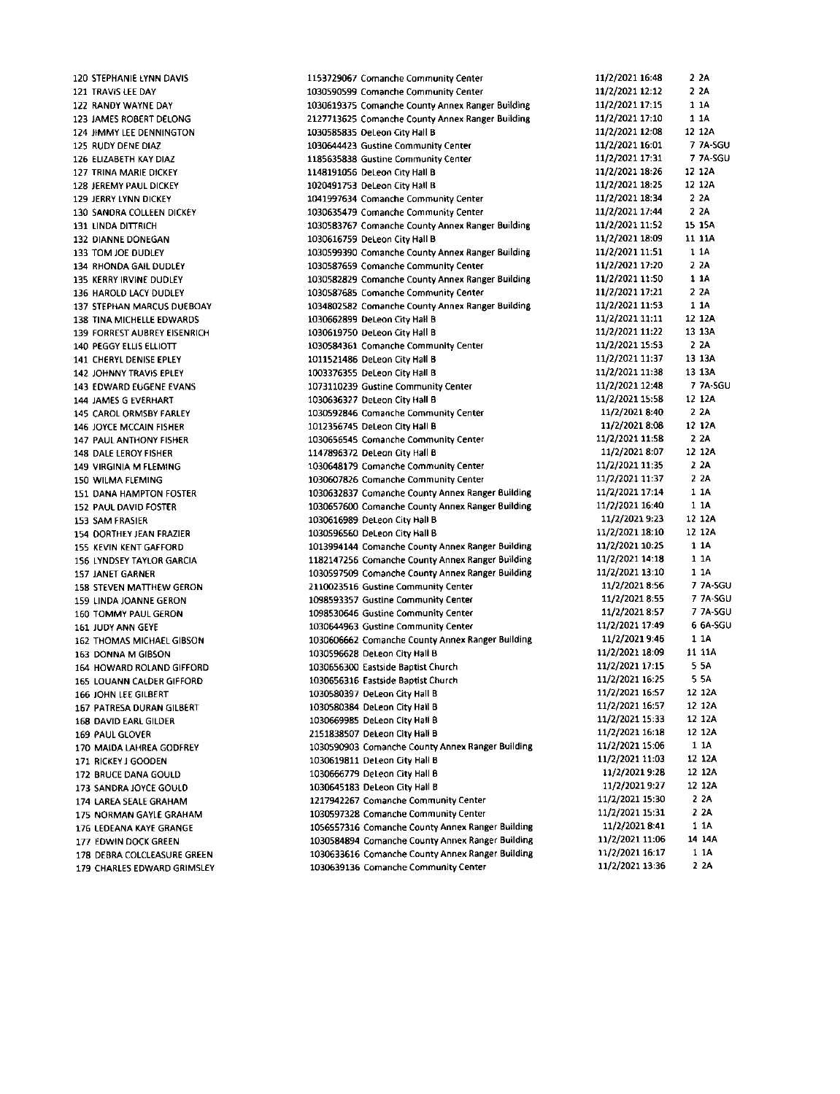120 STEPHANIE LYNN DAVIS 121 TRAVIS LEE DAY 122 RANDY WAYNE DAY 123 JAMES ROBERT DELONG 124 JIMMY LEE DENNINGTON 125 RUDY DENE DIAZ 126 ELIZABETH KAY DIAZ 127 TRINA MARIE DICKEY 128 JEREMY PAUL DICKEY 129 JERRY LYNN DICKEY 130 SANDRA COLLEEN DICKEY 131 LINDA DITTRICH 132 DIANNE DONEGAN 133 TOM JOE DUDLEY 134 RHONDA GAIL DUDLEY 135 KERRY IRVINE DUDLEY 136 HAROLD LACY DUDLEY 137 STEPHAN MARCUS DUEBOAY **138 TINA MICHELLE EDWARDS** 139 FORREST AUBREY EISENRICH 140 PEGGY ELLIS ELLIOTT 141 CHERYL DENISE FPLEY 142 JOHNNY TRAVIS EPLEY 143 EDWARD EUGENE EVANS **144 JAMES G EVERHART** 145 CAROL ORMSBY FARLEY 146 JOYCE MCCAIN FISHER 147 PAUL ANTHONY FISHER 148 DALE LEROY FISHER 149 VIRGINIA M FLEMING 150 WILMA FLEMING 151 DANA HAMPTON FOSTER 152 PAUL DAVID FOSTER 153 SAM FRASIER 154 DORTHEY JEAN FRAZIER 155 KEVIN KENT GAFFORD 156 LYNDSEY TAYLOR GARCIA 157 JANET GARNER 158 STEVEN MATTHEW GERON 159 LINDA JOANNE GERON 160 TOMMY PAUL GERON 161 JUDY ANN GEYE 162 THOMAS MICHAEL GIBSON 163 DONNA M GIBSON 164 HOWARD ROLAND GIFFORD 165 LOUANN CALDER GIFFORD 166 JOHN LEE GILBERT 167 PATRESA DURAN GILBERT 168 DAVID EARL GILDER 169 PAUL GLOVER 170 MAIDA LAHREA GODFREY 171 RICKEY LGOODEN 172 BRUCE DANA GOULD 173 SANDRA JOYCE GOULD 174 LAREA SEALE GRAHAM 175 NORMAN GAYLE GRAHAM 176 LEDEANA KAYE GRANGE 177 FOWIN DOCK GREEN 178 DEBRA COLCLEASURE GREEN 179 CHARLES EDWARD GRIMSLEY 1153729067 Comanche Community Center 1030590599 Comanche Community Center 1030619375 Comanche County Annex Ranger Building 2127713625 Comanche County Annex Ranger Building 1030585835 DeLeon City Hall B 1030644423 Gustine Community Center 1185635838 Gustine Community Center 1148191056 DeLeon City Hall B 1020491753 DeLeon City Hall B 1041997634 Comanche Community Center 1030635479 Comanche Community Center 1030583767 Comanche County Annex Ranger Building 1030616759 DeLeon City Hall B 1030599390 Comanche County Annex Ranger Building 1030587659 Comanche Community Center 1030582829 Comanche County Annex Ranger Building 1030587685 Comanche Community Center 1034802582 Comanche County Annex Ranger Building 1030662899 DeLeon City Hall B 1030619750 DeLeon City Hall B 1030584361 Comanche Community Center 1011521486 DeLeon City Hall B 1003376355 DeLeon City Hall B 1073110239 Gustine Community Center 1030636327 DeLeon City Hall B 1030592846 Comanche Community Center 1012356745 DeLeon City Hall B 1030656545 Comanche Community Center 1147896372 DeLeon City Hall B 1030648179 Comanche Community Center 1030607826 Comanche Community Center 1030632837 Comanche County Annex Ranger Building 1030657600 Comanche County Annex Ranger Building 1030616989 DeLeon City Hall B 1030596560 DeLeon City Hall B 1013994144 Comanche County Annex Ranger Building 1182147256 Comanche County Annex Ranger Building 1030597509 Comanche County Annex Ranger Building 2110023516 Gustine Community Center 1098593357 Gustine Community Center 1098530646 Gustine Community Center 1030644963 Gustine Community Center 1030606662 Comanche County Annex Ranger Building 1030596628 DeLeon City Hall B 1030656300 Eastside Baptist Church 1030656316 Eastside Baotist Church 1030580397 DeLeon City Hall B 1030580384 DeLeon City Hall B 1030669985 DeLeon City Hall B 2151838507 DeLeon City Hall B 1030590903 Comanche County Annex Ranger Building 1030619811 DeLeon City Hall B 1030666779 DeLeon City Hall B 1030645183 DeLeon City Hall B 1217942267 Comanche Community Center 1030597328 Comanche Community Center 1056557316 Comanche County Annex Ranger Building 1030584894 Comanche County Annex Ranger Building 1030633616 Comanche County Annex Ranger Building 1030639136 Comanche Community Center

11/2/2021 16:48  $22A$ 11/2/2021 12:12  $22A$ 11/2/2021 17:15  $11A$ 11/2/2021 17:10 1 1 A 11/2/2021 12:08 12 12A 7 7A-SGU 11/2/2021 16:01 11/2/2021 17:31 7 7A-SGU 11/2/2021 18:26 12 12A 11/2/2021 18:25 12 12A 11/2/2021 18:34  $22A$ 11/2/2021 17:44 2 2 A 11/2/2021 11:52 15 15A 11/2/2021 18:09 11 11A 11/2/2021 11:51 1 1A 11/2/2021 17:20  $2.2A$ 11/2/2021 11:50  $11A$ 11/2/2021 17:21  $22A$ 11/2/2021 11:53  $11A$ 11/2/2021 11:11 12 12A 11/2/2021 11:22 13 13A 11/2/2021 15:53 2.2A 11/2/2021 11:37 13 13A 11/2/2021 11:38 13 13A **7 7A-SGU** 11/2/2021 12:48 11/2/2021 15:58 12 12A 11/2/2021 8:40 2 2A 11/2/2021 8:08 12 12 A 11/2/2021 11:58 2 2A 11/2/2021 8:07 12 12A  $22A$ 11/2/2021 11:35  $22A$ 11/2/2021 11:37 11/2/2021 17:14 1 1 A 11/2/2021 16:40 1 1 A 11/2/2021 9:23 12 12A 11/2/2021 18:10 12 12A 11/2/2021 10:25 1 1 A 11/2/2021 14:18  $11A$ 11/2/2021 13:10  $11A$ 11/2/2021 8:56 7 7A-SGU 11/2/2021 8:55 7 7A-SGU 11/2/2021 8:57 7 7A-SGU 6 6A-SGU 11/2/2021 17:49 11/2/2021 9:46  $11A$ 11/2/2021 18:09 11 11A 11/2/2021 17:15 5.5A 11/2/2021 16:25 5.5A 11/2/2021 16:57 12 12A 11/2/2021 16:57 12 12A 11/2/2021 15:33 12 12A 12 12A 11/2/2021 16:18 11/2/2021 15:06 1 1 A 11/2/2021 11:03 12 12A 12-12A 11/2/2021 9:28 11/2/2021 9:27 12 12A 11/2/2021 15:30 2 2 A 11/2/2021 15:31  $22A$ 11/2/2021 8:41  $11A$ 11/2/2021 11:06 14 14A  $1.1A$ 11/2/2021 16:17 11/2/2021 13:36 2 2 A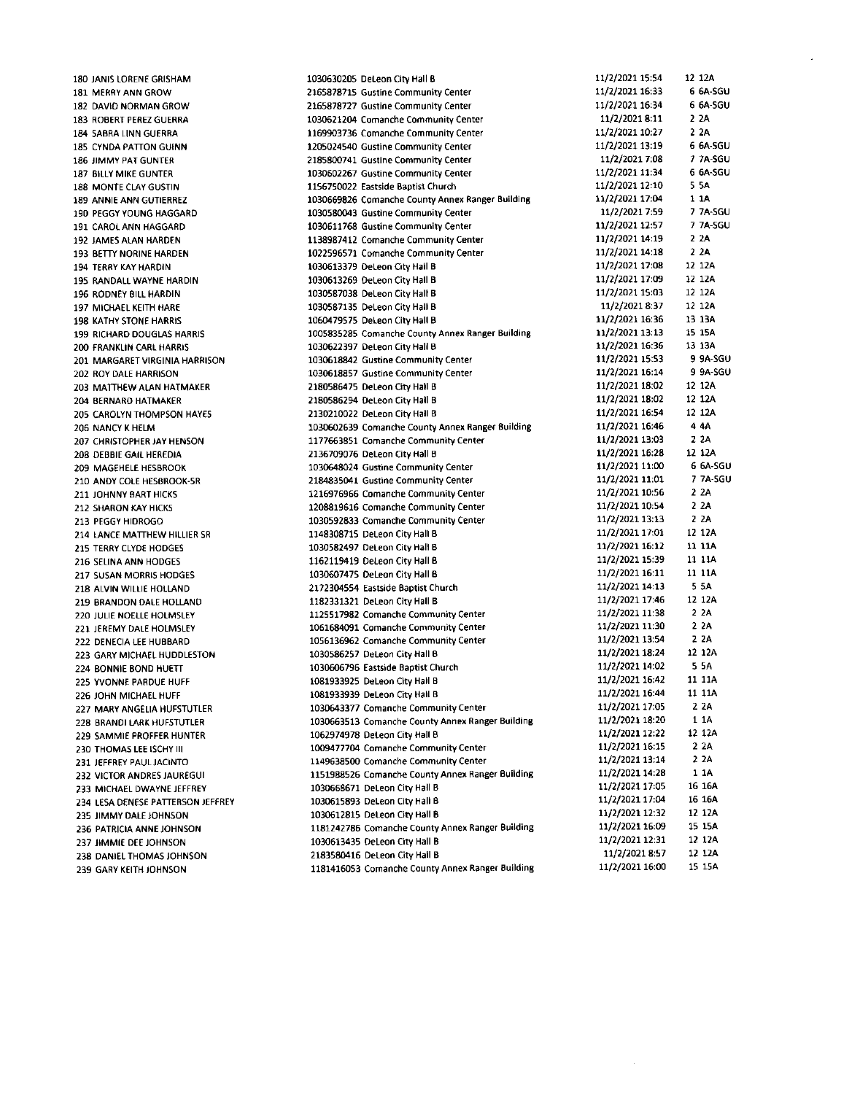180 JANIS LORENE GRISHAM 181 MERRY ANN GROW 182 DAVID NORMAN GROW 183 ROBERT PEREZ GUERRA 184 SABRA LINN GUERRA 185 CYNDA PATTON GUINN 186 JIMMY PAT GUNTER 187 BILLY MIKE GUNTER 188 MONTE CLAY GUSTIN 189 ANNIE ANN GUTIERREZ 190 PEGGY YOUNG HAGGARD 191 CAROL ANN HAGGARD 192 JAMES ALAN HARDEN 193 BETTY NORINE HARDEN 194 TERRY KAY HARDIN 195 RANDALL WAYNE HARDIN 196 RODNEY BILL HARDIN 197 MICHAEL KEITH HARE **198 KATHY STONE HARRIS** 199 RICHARD DOUGLAS HARRIS 200 FRANKLIN CARL HARRIS 201 MARGARET VIRGINIA HARRISON 202 ROY DALE HARRISON 203 MATTHEW ALAN HATMAKER 204 BERNARD HATMAKER **205 CAROLYN THOMPSON HAYES** 206 NANCY K HELM 207 CHRISTOPHER JAY HENSON 208 DEBBIE GAIL HEREDIA 209 MAGEHELE HESBROOK 210 ANDY COLE HESBROOK-SR 211 IOHNNY BART HICKS 212 SHARON KAY HICKS 213 PEGGY HIDROGO 214 LANCE MATTHEW HILLIER SR 215 TERRY CLYDE HODGES 216 SELINA ANN HODGES 217 SUSAN MORRIS HODGES 218 ALVIN WILLIE HOLLAND 219 BRANDON DALE HOLLAND 220 JULIE NOELLE HOLMSLEY 221 JEREMY DALE HOLMSLEY 222 DENECIA LEE HUBBARD 223 GARY MICHAEL HUDDLESTON 224 BONNIE BOND HUETT 225 YVONNE PARDUE HUFF 226 JOHN MICHAEL HUFF 227 MARY ANGELIA HUFSTUTLER 228 BRANDI LARK HUFSTUTLER 229 SAMMIE PROFFER HUNTER 230 THOMAS LEE ISCHY III 231 JEFFREY PAUL JACINTO 232 VICTOR ANDRES JAUREGUI 233 MICHAEL DWAYNE JEFFREY 234 LESA DENESE PATTERSON JEFFREY 235 JIMMY DALE IOHNSON 236 PATRICIA ANNE JOHNSON 237 JIMMIE DEE JOHNSON 238 DANIEL THOMAS JOHNSON 239 GARY KEITH JOHNSON

11/2/2021 15:54 12 12A 1030630205 DeLeon City Hall B 11/2/2021 16:33 6 6A-SGU 2165878715 Gustine Community Center 2165878727 Gustine Community Center 11/2/2021 16:34 6 6A-SGU 11/2/2021 8:11  $2.2A$ 1030621204 Comanche Community Center 1169903736 Comanche Community Center 11/2/2021 10:27  $2.2A$ 11/2/2021 13:19 6 6A-SGU 1205024540 Gustine Community Center 7-7A-SGU 2185800741 Gustine Community Center 11/2/2021 7:08 11/2/2021 11:34 6 6A-SGU 1030602267 Gustine Community Center 1156750022 Eastside Baptist Church 11/2/2021 12:10 5 5 A 11/2/2021 17:04 1 1 A 1030669826 Comanche County Annex Ranger Building 1030580043 Gustine Community Center 11/2/2021 7:59 7 7A-SGU 1030611768 Gustine Community Center 7 7A-SGU 11/2/2021 12:57 11/2/2021 14:19  $22A$ 1138987412 Comanche Community Center 1022596571 Comanche Community Center 11/2/2021 14:18 2 2 A 1030613379 DeLeon City Hall B 11/2/2021 17:08 12 12A 11/2/2021 17:09 12 12A 1030613269 DeLeon City Hall B 11/2/2021 15:03 12 12A 1030587038 DeLeon City Hall B 11/2/2021 8:37 12 12A 1030587135 DeLeon City Hall B 11/2/2021 16:36 13 13A 1060479575 DeLeon City Hall B 1005835285 Comanche County Annex Ranger Building 11/2/2021 13:13 15 15A 1030622397 Deteon City Hall B 11/2/2021 16:36 13 13A 11/2/2021 15:53 9 9A-SGU 1030618842 Gustine Community Center 1030618857 Gustine Community Center 11/2/2021 16:14 9 9A-SGU 2180586475 DeLeon City Hall B 11/2/2021 18:02 12 12A 11/2/2021 18:02 12 12A 2180586294 DeLeon City Hall B 11/2/2021 16:54 12 12A 2130210022 DeLeon City Hall B 1030602639 Comanche County Annex Ranger Building 11/2/2021 16:46 4 4 A 11/2/2021 13:03 1177663851 Comanche Community Center  $2.2A$ 11/2/2021 16:28 12 12A 2136709076 DeLeon City Hall B 6 6A-SGU 11/2/2021 11:00 1030648024 Gustine Community Center 11/2/2021 11:01 7 7A-SGU 2184835041 Gustine Community Center 1216976966 Comanche Community Center 11/2/2021 10:56 2 2 A 2.2A 1208819616 Comanche Community Center 11/2/2021 10:54 11/2/2021 13:13  $2<sub>2</sub>A$ 1030592833 Comanche Community Center 11/2/2021 17:01 12 12A 1148308715 DeLeon City Hall B 11 11 A 1030582497 DeLeon City Hall B 11/2/2021 16:12 11/2/2021 15:39 11 11A 1162119419 DeLeon City Hall B 11 11A 1030607475 DeLeon City Hall B 11/2/2021 16:11 11/2/2021 14:13 5 5 A 2172304554 Eastside Baptist Church 11/2/2021 17:46 12 12A 1182331321 DeLeon City Hall B 11/2/2021 11:38  $2<sub>2</sub>A$ 1125517982 Comanche Community Center 2 2 A 1061684091 Comanche Community Center 11/2/2021 11:30 11/2/2021 13:54 2 2 A 1056136962 Comanche Community Center 1030586257 DeLeon City Hall B 11/2/2021 18:24 12 12A 11/2/2021 14:02 5.5A 1030606796 Eastside Baptist Church 11/2/2021 16:42 11 11A 1081933925 DeLeon City Hall B 11/2/2021 16:44 11 11A 1081933939 DeLeon City Hall B  $2.2A$ 1030643377 Comanche Community Center 11/2/2021 17:05 11/2/2021 18:20 1 1 A 1030663513 Comanche County Annex Ranger Building 11/2/2021 12:22 12 12A 1062974978 DeLeon City Hall B 1009477704 Comanche Community Center 11/2/2021 16:15 2 2 A 11/2/2021 13:14  $22A$ 1149638500 Comanche Community Center 11/2/2021 14:28 1 1 A 1151988526 Comanche County Annex Ranger Building 16 16A 11/2/2021 17:05 1030668671 DeLeon City Hall B 11/2/2021 17:04 16 16A 1030615893 DeLeon City Hall B 1030612815 DeLeon City Hall B 11/2/2021 12:32 12 12A 15 15A 11/2/2021 16:09 1181242786 Comanche County Annex Ranger Building 11/2/2021 12:31 12 12A 1030613435 DeLeon City Hall B 11/2/2021 8:57 12 12A 2183580416 DeLeon City Hall B 1181416053 Comanche County Annex Ranger Building 11/2/2021 16:00 15 15A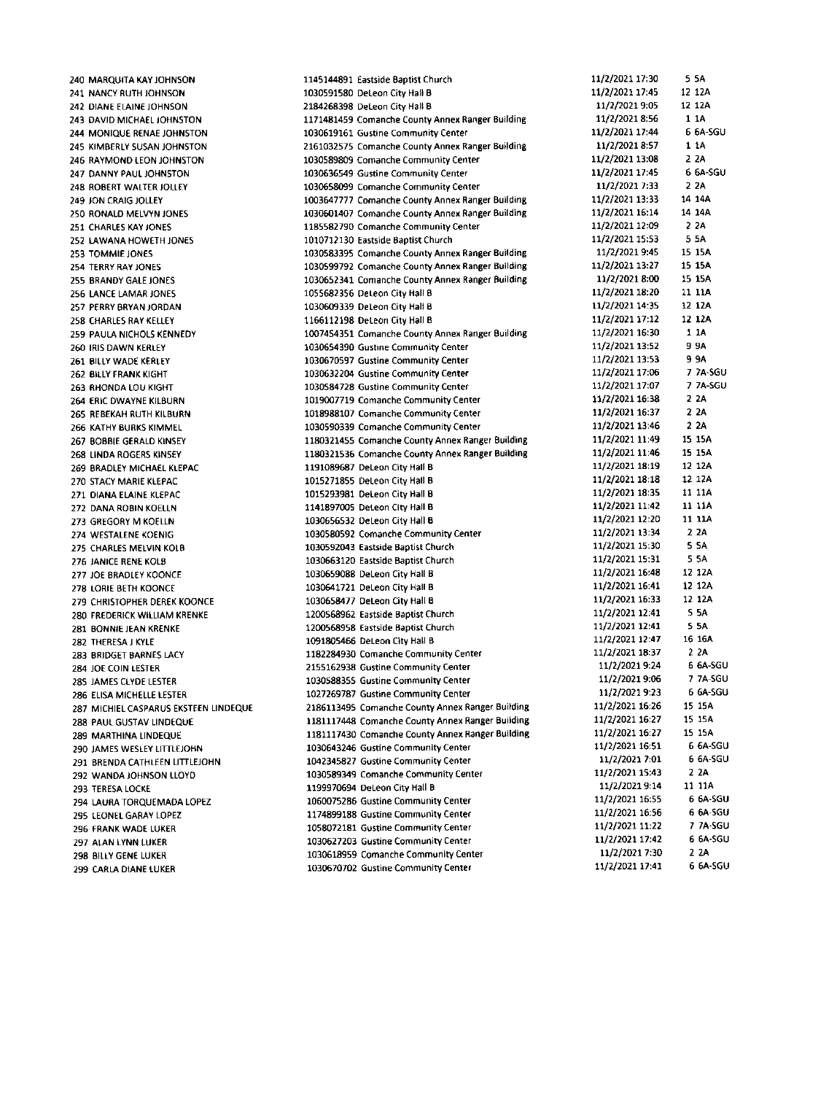240 MARQUITA KAY JOHNSON 241 NANCY RUTH JOHNSON 242 DIANE ELAINE JOHNSON 243 DAVID MICHAEL JOHNSTON 244 MONIQUE RENAE IOHNSTON 245 KIMBERLY SUSAN JOHNSTON 246 RAYMOND LEON JOHNSTON 247 DANNY PAUL JOHNSTON 248 ROBERT WALTER JOLLEY 249 JON CRAIG JOLLEY 250 RONALD MELVYN JONES 251 CHARLES KAY JONES 252 LAWANA HOWETH JONES 253 TOMMIE IONES 254 TERRY RAY JONES 255 BRANDY GALE JONES 256 LANCE LAMAR JONES 257 PERRY BRYAN JORDAN 258 CHARLES RAY KELLEY 259 PAULA NICHOLS KENNEDY 260 IRIS DAWN KERLEY 261 BILLY WADE KERLEY 262 BILLY FRANK KIGHT 263 RHONDA LOU KIGHT 264 ERIC DWAYNE KILBURN 265 REBEKAH RUTH KILBURN 266 KATHY BURKS KIMMEL 267 BOBBIE GERALD KINSEY 268 LINDA ROGERS KINSEY 269 BRADLEY MICHAEL KLEPAC 270 STACY MARIE KLEPAC 271 DIANA ELAINE KLEPAC 272 DANA ROBIN KOELLN 273 GREGORY M KOELLN 274 WESTALENE KOENIG 275 CHARLES MELVIN KOLB 276 JANICE RENE KOLB 277 JOE BRADLEY KOONCE 278 LORIE BETH KOONCE 279 CHRISTOPHER DEREK KOONCE 280 FREDERICK WILLIAM KRENKE 281 BONNIE JEAN KRENKE 282 THERESA J KYLE 283 BRIDGET BARNES LACY 284 JOE COIN LESTER 285 JAMES CLYDE LESTER 286 ELISA MICHELLE LESTER 287 MICHIEL CASPARUS EKSTEEN LINDEQUE 288 PAUL GUSTAV LINDEQUE 289 MARTHINA LINDEOUE 290 JAMES WESLEY LITTLEJOHN 291 BRENDA CATHLEEN LITTLEJOHN 292 WANDA JOHNSON LLOYD 293 TERESA LOCKE 294 LAURA TORQUEMADA LOPEZ 295 LEONEL GARAY LOPEZ 296 FRANK WADE LUKER 297 ALAN LYNN LUKER 298 BILLY GENE LUKER 299 CARLA DIANE LUKER

1145144891 Eastside Baptist Church 1030591580 DeLeon City Hall B 2184268398 DeLeon City Hall B 1171481459 Comanche County Annex Ranger Building 1030619161 Gustine Community Center 2161032575 Comanche County Annex Ranger Building 1030589809 Comanche Community Center 1030636549 Gustine Community Center 1030658099 Comanche Community Center 1003647777 Comanche County Annex Ranger Building 1030601407 Comanche County Annex Ranger Building 1185582790 Comanche Community Center 1010712130 Eastside Baptist Church 1030583395 Comanche County Annex Ranger Building 1030599792 Comanche County Annex Ranger Building 1030652341 Comanche County Annex Ranger Building 1055682356 Deteon City Hall B 1030609339 DeLeon City Hall B 1166112198 DeLeon City Hall B 1007454351 Comanche County Annex Ranger Building 1030654390 Gustine Community Center 1030670597 Gustine Community Center 1030632204 Gustine Community Center 1030584728 Gustine Community Center 1019007719 Comanche Community Center 1018988107 Comanche Community Center 1030590339 Comanche Community Center 1180321455 Comanche County Annex Ranger Building 1180321536 Comanche County Annex Ranger Building 1191089687 DeLeon City Hall B 1015271855 DeLeon City Hall B 1015293981 DeLeon City Hall B 1141897005 Deteon City Hall B 1030656532 DeLeon City Hall B 1030580592 Comanche Community Center 1030592043 Eastside Baptist Church 1030663120 Eastside Baptist Church 1030659088 DeLeon City Hall B 1030641721 DeLeon City Hall B 1030658477 DeLeon City Hall B 1200568962 Eastside Baptist Church 1200568958 Eastside Baptist Church 1091805466 DeLeon City Hall B 1182284930 Comanche Community Center 2155162938 Gustine Community Center 1030588355 Gustine Community Center 1027269787 Gustine Community Center 2186113495 Comanche County Annex Ranger Building 1181117448 Comanche County Annex Ranger Building 1181117430 Comanche County Annex Ranger Building 1030643246 Gustine Community Center 1042345827 Gustine Community Center 1030589349 Comanche Community Center 1199970694 DeLeon City Hall B 1060075286 Gustine Community Center 1174899188 Gustine Community Center 1058072181 Gustine Community Center 1030627203 Gustine Community Center 1030618959 Comanche Community Center 1030670702 Gustine Community Center

11/2/2021 17:30 5.5A 11/2/2021 17:45 12 12A 11/2/2021 9:05 12 12A 11/2/2021 8:56  $1.1A$ 6 6A-SGU 11/2/2021 17:44 11/2/2021 8:57 1 1 A  $2.2A$ 11/2/2021 13:08 11/2/2021 17:45 6 6A-SGU 11/2/2021 7:33 2 2 A 11/2/2021 13:33 14 14A 11/2/2021 16:14 14 14A 11/2/2021 12:09 2.2A 11/2/2021 15:53 5.54 11/2/2021 9:45 15 15A 11/2/2021 13:27 15 15A 11/2/2021 8:00 15 15A 11/2/2021 18:20 11 11A 11/2/2021 14:35 12 12A 11/2/2021 17:12 12 12A 11/2/2021 16:30 1 1 A 11/2/2021 13:52 **9 9 A** 11/2/2021 13:53 9 9 A 11/2/2021 17:06 7 7A-SGU **7 7A-SGU** 11/2/2021 17:07 11/2/2021 16:38  $2<sub>2</sub>A$ 11/2/2021 16:37  $22A$  $2.24$ 11/2/2021 13:46 11/2/2021 11:49 15 15A 11/2/2021 11:46 15 15A 11/2/2021 18:19 12 12A 11/2/2021 18:18 12 12A 11/2/2021 18:35 11 11A 11/2/2021 11:42 11-11A 11/2/2021 12:20 11 11A 11/2/2021 13:34 2 ZA 11/2/2021 15:30 5.5A 11/2/2021 15:31 5.5A 11/2/2021 16:48 12 12A 11/2/2021 16:41 12 12A 11/2/2021 16:33 12 12A 11/2/2021 12:41 5 5 A 11/2/2021 12:41 5 5A 11/2/2021 12:47 16 16A 11/2/2021 18:37 2 2 A 6 6A-SGU 11/2/2021 9:24 11/2/2021 9:06 7 7A-SGU 6 6A-SGU 11/2/2021 9:23 15 15A 11/2/2021 16:26 11/2/2021 16:27 15 15A 11/2/2021 16:27 15 15A 11/2/2021 16:51 6 6A-SGU 6 6A-SGU 11/2/2021 7:01 11/2/2021 15:43 2.24 11 11A 11/2/2021 9:14 11/2/2021 16:55 6 6A-SGU 11/2/2021 16:56 6-6A-SGU 11/2/2021 11:22 7 7A-SGU 11/2/2021 17:42 6 6A-SGU 11/2/2021 7:30  $2.2A$ 11/2/2021 17:41 6 6A-SGU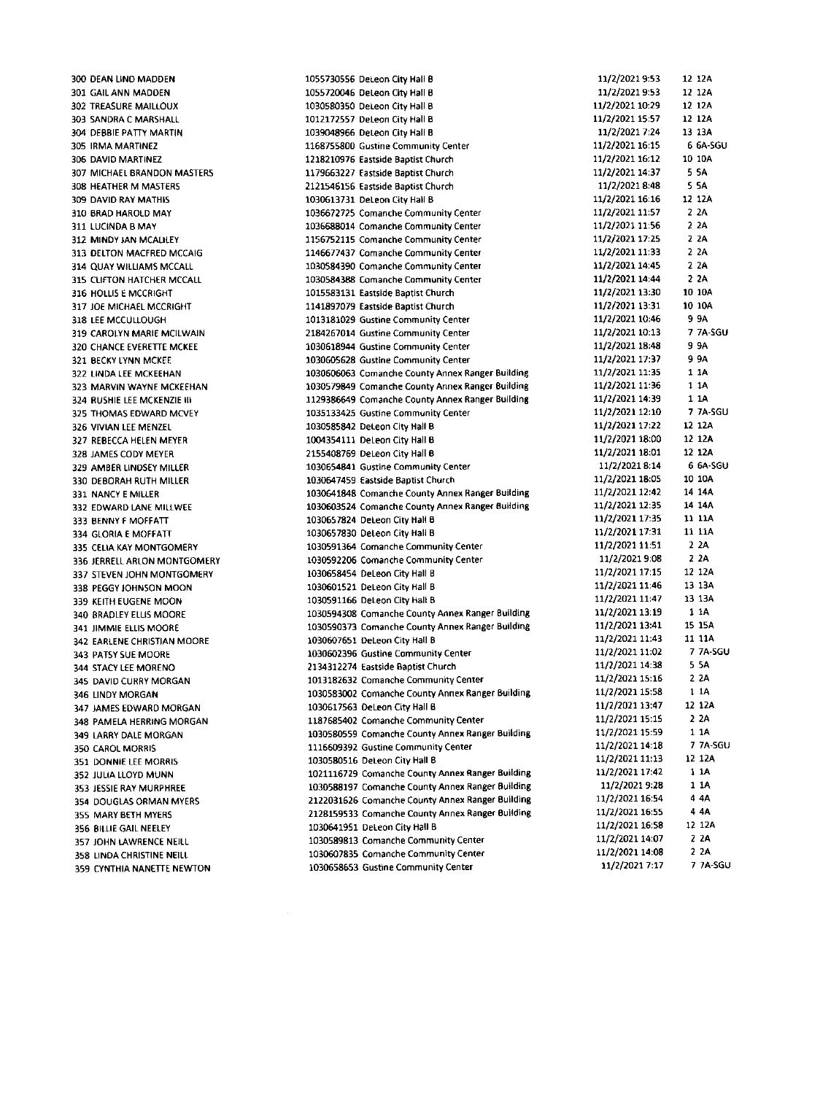300 DEAN LIND MADDEN 301 GAIL ANN MADDEN 302 TREASURE MAILLOUX 303 SANDRA C MARSHALL 304 DEBBIE PATTY MARTIN 305 IRMA MARTINEZ 306 DAVID MARTINEZ 307 MICHAEL BRANDON MASTERS 308 HEATHER M MASTERS 309 DAVID RAY MATHIS 310 BRAD HAROLD MAY 311 LUCINDA B MAY 312 MINDY JAN MCALILEY 313 DELTON MACFRED MCCAIG 314 QUAY WILLIAMS MCCALL 315 CLIFTON HATCHER MCCALL 316 HOLLIS E MCCRIGHT 317 JOE MICHAEL MCCRIGHT 318 LEE MCCULLOUGH 319 CAROLYN MARIE MCILWAIN 320 CHANCE EVERETTE MCKEE 321 BECKY LYNN MCKEE 322 LINDA LEE MCKEEHAN 323 MARVIN WAYNE MCKEEHAN 324 RUSHIE LEE MCKENZIE III 325 THOMAS EDWARD MCVEY 326 VIVIAN LEE MENZEL 327 REBECCA HELEN MEYER 328 IAMES CODY MEYER 329 AMBER LINDSEY MILLER 330 DEBORAH RUTH MILLER 331 NANCY E MILLER 332 EDWARD LANE MILLWEE 333 BENNY F MOFFATT 334 GLORIA E MOFFATT 335 CELIA KAY MONTGOMERY 336 JERRELL ARLON MONTGOMERY 337 STEVEN JOHN MONTGOMERY 338 PEGGY JOHNSON MOON 339 KEITH EUGENE MOON 340 BRADLEY FLUS MOORE 341 IIMMIE ELLIS MOORE 342 EARLENE CHRISTIAN MOORE 343 PATSY SUE MOORE 344 STACY LEE MORENO 345 DAVID CURRY MORGAN 346 LINDY MORGAN 347 JAMES EDWARD MORGAN 348 PAMELA HERRING MORGAN 349 LARRY DALE MORGAN 350 CAROL MORRIS 351 DONNIE LEE MORRIS 352 JULIA LLOYD MUNN 353 JESSIE RAY MURPHREE 354 DOUGLAS ORMAN MYERS 355 MARY BETH MYERS 356 BILLIE GAIL NEELEY 357 JOHN LAWRENCE NEILL 358 LINDA CHRISTINE NEILL 359 CYNTHIA NANETTE NEWTON

1055730556 DeLeon City Hall B 1055720046 DeLeon City Hall B 1030580350 DeLeon City Hall B 1012172557 DeLeon City Hall B 1039048966 DeLeon City Hall B 1168755800 Gustine Community Center 1218210976 Eastside Baptist Church 1179663227 Eastside Bantist Church 2121546156 Eastside Baptist Church 1030613731 DeLeon City Hall B 1036672725 Comanche Community Center 1036688014 Comanche Community Center 1156752115 Comanche Community Center 1146677437 Comanche Community Center 1030584390 Comanche Community Center 1030584388 Comanche Community Center 1015583131 Eastside Baptist Church 1141897079 Eastside Baptist Church 1013181029 Gustine Community Center 2184267014 Gustine Community Center 1030618944 Gustine Community Center 1030605628 Gustine Community Center 1030606063 Comanche County Annex Ranger Building 1030579849 Comanche County Annex Ranger Building 1129386649 Comanche County Annex Ranger Building 1035133425 Gustine Community Center 1030585842 Deteon City Hall B 1004354111 DeLeon City Hall B 2155408769 DeLeon City Hall B 1030654841 Gustine Community Center 1030647459 Eastside Baptist Church 1030641848 Comanche County Annex Ranger Building 1030603524 Comanche County Annex Ranger Building 1030657824 DeLeon City Hall B 1030657830 Deteon City Hall B 1030591364 Comanche Community Center 1030592206. Comanche Community Center 1030658454 DeLeon City Hall B 1030601521 DeLeon City Hall B 1030591166 Deteon City Hall B 1030594308 Comanche County Annex Ranger Building 1030590373 Comanche County Annex Ranger Building 1030607651 DeLeon City Hall B 1030602396 Gustine Community Center 2134312274 Eastside Baptist Church 1013182632 Comanche Community Center 1030583002 Comanche County Annex Ranger Building 1030617563 DeLeon City Hall B 1187685402 Comanche Community Center 1030580559 Comanche County Annex Ranger Building 1116609392 Gustine Community Center 1030580516 DeLeon City Hall B 1021116729 Comanche County Annex Ranger Building 1030588197 Comanche County Annex Ranger Building 2122031626 Comanche County Annex Ranger Building 2128159533 Comanche County Annex Ranger Building 1030641951 DeLeon City Hall B 1030589813 Comanche Community Center 1030607835 Comanche Community Center 1030658653 Gustine Community Center

11/2/2021 9:53  $12, 124$ 11/2/2021 9:53 12 12A 11/2/2021 10:29 12 12A 12 12A 11/2/2021 15:57 11/2/2021 7:24 13 13A 11/2/2021 16:15 6 6A-SGU 11/2/2021 16:12 10.10A 11/2/2021 14:37 5.5A 11/2/2021 8:48 5 5 A 11/2/2021 16:16 12.12A 11/2/2021 11:57  $2.2A$ 11/2/2021 11:56  $2<sub>2</sub>A$ 11/2/2021 17:25 2 2 A  $22A$ 11/2/2021 11:33 11/2/2021 14:45  $2.2A$ 11/2/2021 14:44  $2.2A$ 11/2/2021 13:30 10 10A 11/2/2021 13:31 10 10A 9 9 A 11/2/2021 10:46 11/2/2021 10:13 7 7A-SGU 11/2/2021 18:48 9 9 A 11/2/2021 17:37 9 9 A 11/2/2021 11:35  $11A$  $11A$ 11/2/2021 11:36 11/2/2021 14:39 1 1 A 11/2/2021 12:10 7 7A-SGU 12.124 11/2/2021 17:22 11/2/2021 18:00 12.124 11/2/2021 18:01 12 12A 11/2/2021 8:14 6.6A-SGU 11/2/2021 18:05 10 10 A 11/2/2021 12:42 14 14A 11/2/2021 12:35 14 14A 11/2/2021 17:35 11 11A 11/2/2021 17:31 11 11A 11/2/2021 11:51  $22A$ 11/2/2021 9:08 2 2 A 11/2/2021 17:15 12 12A 11/2/2021 11:46 13 13A 11/2/2021 11:47 13 13A 11/2/2021 13:19 1 1 A 15 15A 11/2/2021 13:41 11 11A 11/2/2021 11:43 11/2/2021 11:02 **7.7A-SGU** 11/2/2021 14:38 5 SA 11/2/2021 15:16 2 2 A 11/2/2021 15:58  $1.1A$ 11/2/2021 13:47 12 12A 11/2/2021 15:15 2 2A 11/2/2021 15:59  $1.1A$ 11/2/2021 14:18 7 7A-SGU 11/2/2021 11:13 12 12A 11/2/2021 17:42 1 1 A 11/2/2021 9:28  $11A$ 11/2/2021 16:54 4 4 A 11/2/2021 16:55 4 4 A 11/2/2021 16:58 12 12A 11/2/2021 14:07 2 2 A  $22A$ 11/2/2021 14:08 11/2/2021 7:17 7 7A-SGU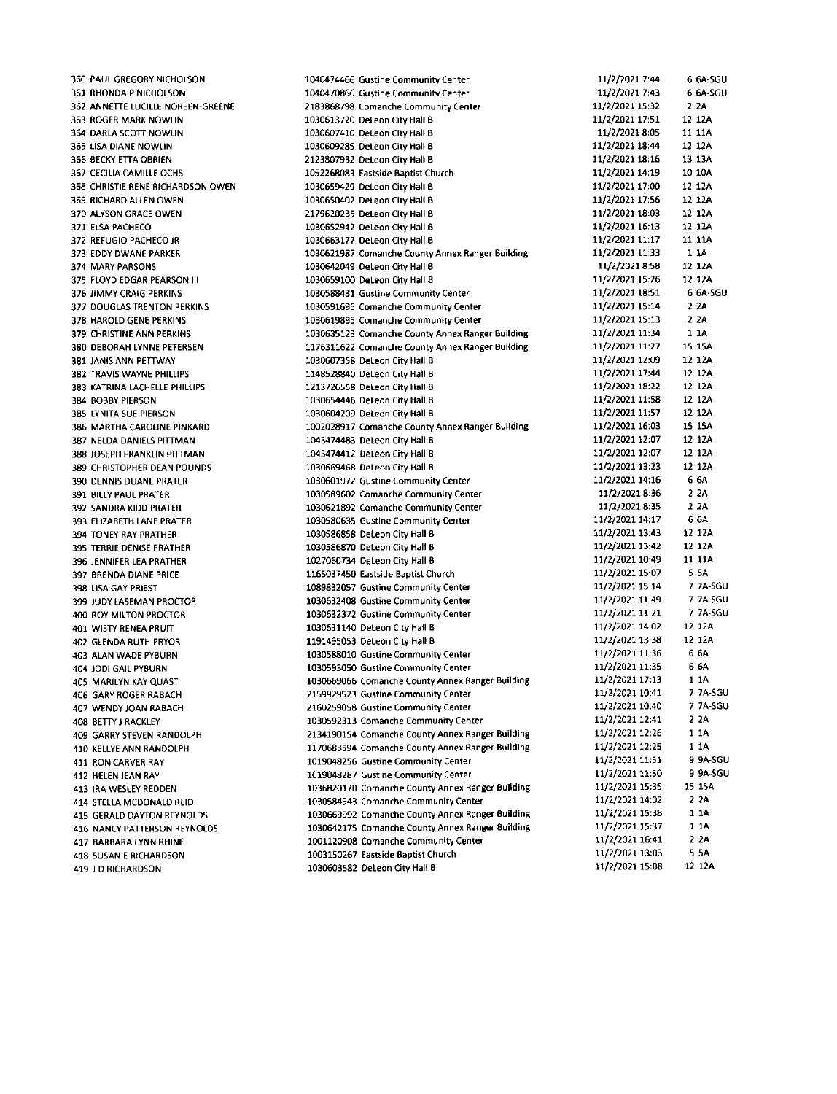360 PAUL GREGORY NICHOLSON 361 RHONDA P NICHOLSON 362 ANNETTE LUCILLE NOREEN-GREENE 363 ROGER MARK NOWLIN 364 DARLAsCOTT NOWLIN 365 LISA DIANE NOWLIN 355 BECKY ETTA OERIEN 367 CECILIA CAMILLE OCHS 368 CHRISTIE RENE RICHARDSON OWEN 369 RICHARD ALLEN OWEN 370 ALYSON GRACE OWEN 371 ELSA PACHECO 372 REFUGIO PACHECO JR 373 EDDY DWANE PARKER 374 MARY PARSONS 375 FLOYD EDGAR PEARSON III 376 JIMMY CRAIG PERKINS 377 DOUGLASTRENION PERKINS 378 HAROLD GENE PERKINS 379 CHRISTINE ANN PERKINS 380 DEBORAH LYNNE PEIERSEN 381 JANIS ANN PETTWAY **382 TRAVIS WAYNE PHILLIPS** 383 KATRINA LACHELLE PHILLIPS 384 BOBBY PIERSON 385 LYNITA SUE PIERSON 385 MARTHA CAROIINE PINKARD 387 NEIDA DANIELS PITTMAN 388 JOSEPH FRANKIIN PITTMAN 389 CHRISTOPHER DEAN POUNDS 390 DENNIS DUANE PRATER 391 BILLY PAUL PRATER 392 SANDRA KIDD PRATER 393 ELIZABETH LANE PRATER 394 TONEY RAY PRATHER 395 TERRIE DENISE PRATHER 396 IENNIFER LEA PRATHER 397 BRENDA DIANE PRICE 398 LISA GAY PRIEST 399 JUDY LASEMAN PROCTOR 4OO ROY MILTON PROCTOR 4OI WISTY RENEA PRUIT 402 GLENOA RUTH PRYOR 403 AIAN WADE PYEURN 404 JODIGAIL PYSURN 405 MARILYN KAY QUAST 406 GARY ROGER RABACH 407 WENDYIOAN RABACH 408 BETTY J RACKLEY 409 GARRY ST€VEN RANDOLPH 410 KELLYE ANN RANDOLPH 411 RON CARVER RAY **412 HELEN JEAN RAY** 413 IRA WESIEY REODEN 414 STELLA MCDONALD REID 415 GERALD DAYTON REYNOLOS 416 NANCY PATTERSON REYNOLDS 417 BARBARA LYNN RHINE 418 SUSAN E RICHARDSON 419 I D RICHARDSON

1040474466 Gustine Community Center 1040470866 Gustine Community Center 2183868798 Comanche Community Center 1030613720 DeLeon City Hall B 1030607410 DeLeon City Hall B 1030609285 DeLeon City Hall B 2123807932 DeLeon City Hall B 1052268083 Eastside Saptist church 1030659429 DeLeon City Hall B 1030650402 Deleon city Hall I 2179620235 DeLeon City Hall B 1030652942 DeLeon City Hall B 1030663177 DeLeon City Hall B 1030621987 Comanche County Annex Ranger Building 1030642049 DeLeon City Hall B 1030659100 DeLeon City Hall B 1030588431 Gustine Community Center 1030591695 Comanche Community Center 1030619895 Comanche Community Center 1030635123 Comanche County Annex Ranger Building 1176311622 Comanche County Annex Ranger Building 1030607358 D€Leon City Hall B 1148528840 DeLeon City Hall B 1213726558 DeLeon City Hall B 1030654446 DeLeon City Hall B 1030604209 DeLeon City Hall B 1002028917 Comanche County Annex Ranger Building 1043474483 DeLeon City Hall B 1043474412 DeLeon City Hall B 1030669468 DeLeon City Hall B 1030€01972 6ustine community Center 1030589602 Comanche Community center 1030621892 Comanche Community Center 1030580635 Gustine Community Center 1030586858 DeLeon City Hall B 1030586870 Oeteon City Hall I 1027060734 DeLeon City Hall B 1165037450 Eastside Baptist Church 1089832057 Gustine Community Center 1030632408 Gustine Community Center 1030632372 Gustine Community center 1030631140 DeLeon city fall B 1191495053 DeLeon City Hall B 1030588010 Gustine Community Center 1030593050 Gustine Community Center 1030669066 Comanche County Annex Ranger Building 2159929523 Gustine community Center 2160259058 Gustine Community Center 1030592313 Comanche Community center 2134190154 Comanche County Annex Ranger Building 1170683594 Comanche County Annex Ranger Building 1019048256 Gustine community Center 1019044287 Gustine Community Center 1036820170 Comanche County Annex Ranger Building 1030584943 Comanche Community Center 1030669992 Comanche County Annex Ranger Building 1030642175 Comanche County Annex Ranger Building 1001120908 Comanche Community Centet 1003150267 Eastside Saptist Church 1030603582 Deleon City Hall I

11/2/2021 7:44 6 6A-5GU<br>11/2/2021 7:43 6 6A-5GU 11/2/2021 7:43 11/2/2021 15:32 2 2A 11/2/2021 17:51 12 12A<br>11/2/2021 8:05 11 11A 11/2/2021 8:05 11/21202114:44 12 124 11/2/2021 18:16 13 13A 11/2/2021 14:19 10 10A 11/2/2021 17:00 12 12A 11/2/2021 17:56 12 12A 11/2/2021 18:03 12 12A  $11/2/2021$  16:13 12 12A<br>11/2/2021 11:17 11:11A  $11/2/202111:17$  11 11/<br> $11/2/202111:33$  1 1A 11/2/2021 11:33 11/2/2021 8:58 12 12A 1112/202115125 12 124 11/2/2021 18:51 6 6A-SGU 11121202115114 2 2A 11/2/2021 15:13 2 2A 11/2/2021 11:34 1 1A 11/2/2021 11:27 15 15A 11/2/2021 12:09 12:12A 11/2/2021 17:44 12 12A 11/2/2021 18:22 12 12A<br>11/2/2021 11:58 12 12A 11/2/2021 11:58 12 12A<br>11/2/2021 11:57 12 12A 11/2/2021 11:57 11/2/2021 16:03 15 15A 11/2/2021 12:07 12 12A 11/2/2021 12:07 12 12A 11/2/2021 13:23 12 12A 11/2/2021 14:16 66A 11/2/2021 8:36 2 2A 11/2/2021 8:35 2 2A 11/2/2021 14:17 6 6A 1U212O21.13:43 12 124 11/2/2021 13:42 12 12A 11/2/2021 10:49 11 11A<br>11/2/2021 15:07 5 5A 11/2/2021 15:07 11/2/2021 15:14 7 7A-SGU 11/2/2021 11:49 7 7A-SGU<br>11/2/2021 11:21 7 7A-SGU 11/2/2021 11:21 11/2/2021 14:02 12 12A 11/2/2021 13:38 12 12A 11/2/2021 11:36 6 6A 11/2/2021 11:35 66A 11/2/2021 17:13  $11A$ 11/2/2021 10:41 7 7A-SGU<br>11/2/2021 10:40 7 7A-SGU 11/2/2021 10:40 11/2/2021 12:41 2 2A 11/2/2021 12:26 1 1A 11/2/2021 12:25 1 1A 11/2/2021 11:51 9 9A-SGU 11/2/2021 11:50 9 9A-SGU 7112/202715.35 15 15A 11/2/2021 14:02 2 2A 11/2/2021 15:38 1 1A 11/2/2021 15:37 1 1A<br>11/2/2021 16:41 2 2A 11/2/2021 16:41 11/2/2021 13:03 55A 11/2/2021 15:08 12 12A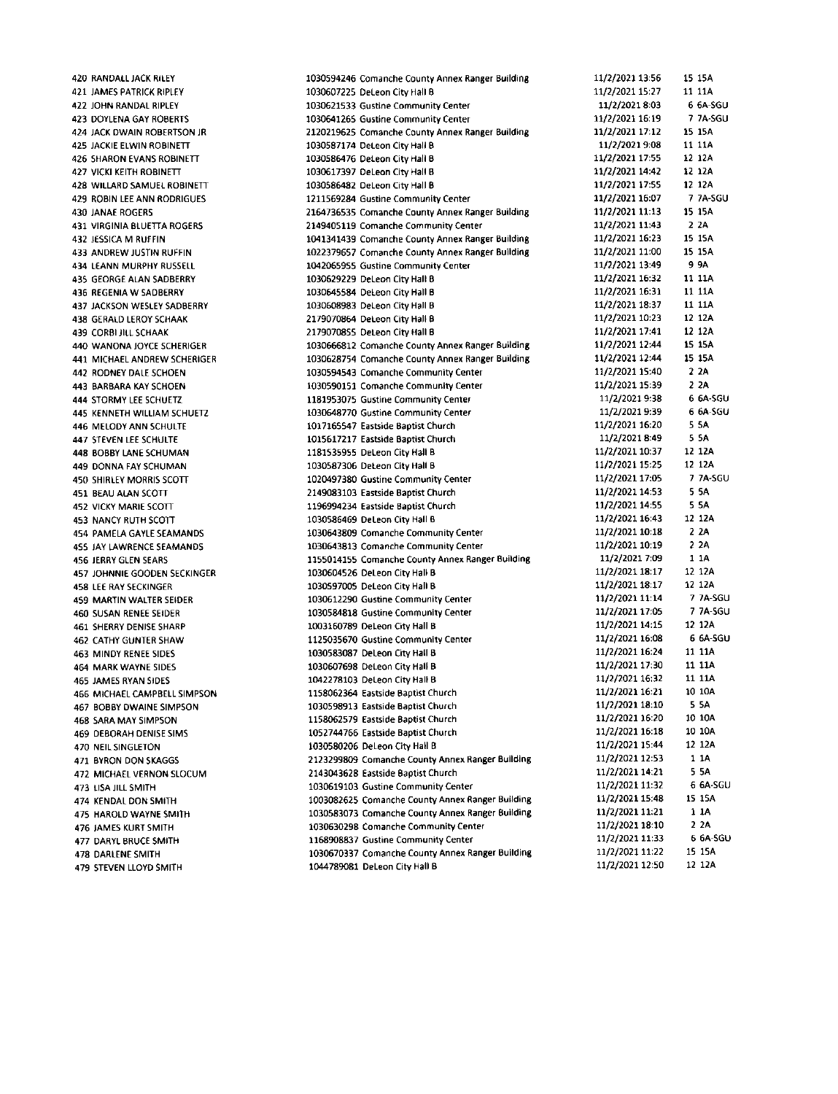420 RANDALL JACK RILEY JAMES PATRICK RIPLEY IOHN RANDAL RIPLEY DOYLENA GAY ROSERTS ]ACK OWAIN ROBERTSON IR IACKIE ELWIN ROBINETT SHARON EVANS ROBINETT VICKI KEITH ROBINETT 428 WILLARD SAMUEL ROBINETT ROBIN LEE ANN RODRIGUES 430 JANAE ROGERS 431 VIRGINIA BLUETTA ROGERS JISSICA M RUfFIN **433 ANDREW JUSTIN RUFFIN** 434 LEANN MURPHY RUSSELL GEORGE ALAN SAOBERRY 436 REGENIA W SADBERRY IACKSON WESIEY SADEERRY GEBAID LEROY SCHAAK 439 CORBI JILL SCHAAK 440 WANONA JOYCE SCHERIGER 441 MICHAEL ANDREW SCHERIGER ROONEY DALE SCHOEN 443 BARBARA KAY SCHOEN STORMY LEE SCHUETZ 445 KENNETH WILLIAM SCHUETZ MELOOYANN SCHULTE 447 STEVEN LEE SCHULTE SOBBY LANE sCHUMAN DONNA FAY SCHUMAN SHIRLEY MORRIS SCOTT B€AU ALAN SCOTI VICKY MARIE SCOTT NANCY RUTH SCOTT 454 PAMELA GAYLE SEAMANDS 455 JAY LAWRENCE SEAMANDS IERRY GLEN SEARS IOHNNIE GOODEN SECKINGER LE€ RAY SECKING€R MARTIN WALTER 5EIDER 460 SUSAN RENEE SEIDER SHERRY DENISE SHARP CATHY GUNTER SHAW 463 MINDY RENEE SIDES MARKWAYNE SIDES IAMES RYAN 5IDEs 466 MICHAEL CAMPBELL SIMPSON BOBBY DWAINE SIMPSON SARA MAY SIMPSON DEEORAH OENISE 5IM5 NEILSINGLETON EYRON DON 5KAGGS MICHAELVERNON SLOCUM 473 LISA JILL SMITH KENDAL DON SMITH HAROID WAYNE SMITH **476 JAMES KURT SMITH** OARYL BRUCE SMITH 478 DARLENE SMITH STEVEN LLOYD SMITH

1030594246 Comanche County Annex Ranger Building 1030607225 DeLeon City Hall B 1030621533 Gustine Community Center 1030641265 Gustine Community Center 2120219625 Comanche County Annex Ranger Building 1030587174 DeLeon City Hall B 1030586476 DeLeon City Hall B 1030617397 DeLeon City Hall B 1030586482 DeLeon City Hall B 1211569284 Gustine Community Center 2164736535 Comanche County Annex Ranger Building 2149405119 Comanche Community Center 1041341439 Comanche County Annex Ranger Building 1022379657 Comanche County Annex Ranger Euildin8 1042065955 Gustine Community Center 1030629229 DeLeon City Hall B 1030645584 DeLeon City Hall B 1030508983 Deleon City Hall B 2179070864 DeLeon City Hall B 2179070855 DeLeon City Hall B 1030666812 Comanche County Annex Ranger Building 1030628754 Comanche County Annex Ranger Building 1030594543 Comanche Community Center 1030590151 Comanche Community Center 1181953075 Gustine Community Centet 1030648770 Gustine Community Center 1017165547 Eastside Baptist Church 1015517217 Eastside Baptist Church 1181535955 DeLeon City Hall B 1030587306 DeLeon City Hall B 1020497380 Gustine Community Center 2149083103 Eastside Baptist Church 1196994234 tastside Eaptist Church 1030586469 DeLeon City HallB 1030643809 Comanche Community Center 1030643813 Comanche Community Center 1155014155 Comanche County Annex Ranger Euilding 1030604526 DeLeon City Hall B 1030597005 DeLeon City Hall B 1030612290 Gustine Community Center 1030584818 Gustine Community Center 1003160789 DeLeon City Hall B 1125035670 Gustine Community Center 1030583087 DeLeon City Hall B 1030607698 DeLeon City Hall B 1042278103 DeLeon City Hall B 1158062364 Eastside Eaptist church 1030598913 Eastside Eaptist Church 1158062579 Eastside Baptist Church 1052744766 Eastside Baptist Church 1030580206 DeLeon City Hall B 2123299809 Comanche County Annex Ranger Building 2143043628 Eastside Saptist church 1030619103 Gustine Community center 1003082625 Comanche County Annex Ranger Building 1030583073 Comanche County Annex Ranger Building 1030630298 Comanche Community Center 1168908837 Gustine Community Center 1030670337 Comanche County Annex Ranger Building 1044789081 DeLeon City Hall B

11/2/2021 13:56 15 15A<br>11/2/2021 15:27 11 11A 11/2/2021 15:27 11/2/2021 8:03 6 6A-SGU<br>11/2/2021 16:19 7 7A-SGU 11/2/2021 16:19 11/2/202117.12 15 l5A 11/2/2021 9:08 11 11A<br>11/2/2021 17:55 12 12A 11/2/2021 17:55 11/2/2021 14:42 12 12A 11/2/2021 17:55 12 12A<br>11/2/2021 16:07 7 7A-SGU 11/2/2021 16:07  $11/2/2021$  11:13 15 15A<br>11/2/2021 11:43 2.24 11/2/2021 11:43 2 2A<br>11/2/2021 16:23 15 15A 11/2/2021 16:23 11/2/2021 11:00 15 15A 1U2/2O2713:49 9 9A 11/2/2021 16:32 11 11A r!/2/2o2r 76131 <sup>11</sup>11A 11/2/2021 18:37 11/2/2021 10:23 12 12A 11/2/2021 17:41 12 12A 11/2/2021 12:44 15 15A 11/2/2021 12:44 15 15A 11/2/2021 15:40 2 2A 1U2/2O2115:39 2 2A 1U2/2O2!9:34 6 5A-SGU 11/2/2021 9:39 6 6A-SGU 11/2/2021 16:20 5.5A 11/2/2021 8:49 5 5A<br>11/2/2021 10:37 12:12 12 11/2/2021 10:37 11/2/2021 15:25 12 12A 1U21202117.05 7 7A'5GU 11/2/2021 14:53 5 5A 11/2/2021 14:55 55A 11/2/202716143 12 124 11/2/2021 10:18 2 2A<br>11/2/2021 10:19 2 2A 11/2/2021 10:19 2 2A<br>11/2/2021 7:09 1 1A 11/2/2021 7:09 1 1A<br>11/2/2021 18:17 12:12A 11/2/2021 18:17 11/2/2021 18:17 12 12A 11/2/2021 11:14 7 7A-SGU<br>11/2/2021 17:05 7 7A-SGU 11/2/2021 17:05 77A-5<br>11/2/2021 14:15 12:12A 11/2/2021 14:15 11/2/2021 16:08 6 6A-5GU 11/2/2021 16:24 11 11A 11/2/2021 17:30 11 11A<br>11/2/2021 16:32 11 11A 11/2/2021 16:32 11 11A<br>11/2/2021 16:21 10 10A 11/2/2021 16:21  $11/2/2021$  18:10 5 5A<br>11/2/2021 16:20 10:10A 11/2/2021 16:20 77lZl2127l6:1a 10 10A 11/2/2021 15:44 12 12A 11/2/2021 12:53 1 1A 11/2/2021 14:21 5 5A<br>11/2/2021 11:32 6 6A-SGU 11/2/2021 11:32 11/2/2021 15:48 15 15A 11/2/2021 11:21 1 1A 11/2/2021 18:10 2 2A<br>11/2/2021 11:33 6 6A-SGU 11/2/2021 11:33 6 6A-5<br>11/2/2021 11:22 15 15A 11/2/2021 11:22 11/2/2021 12:50 12 12A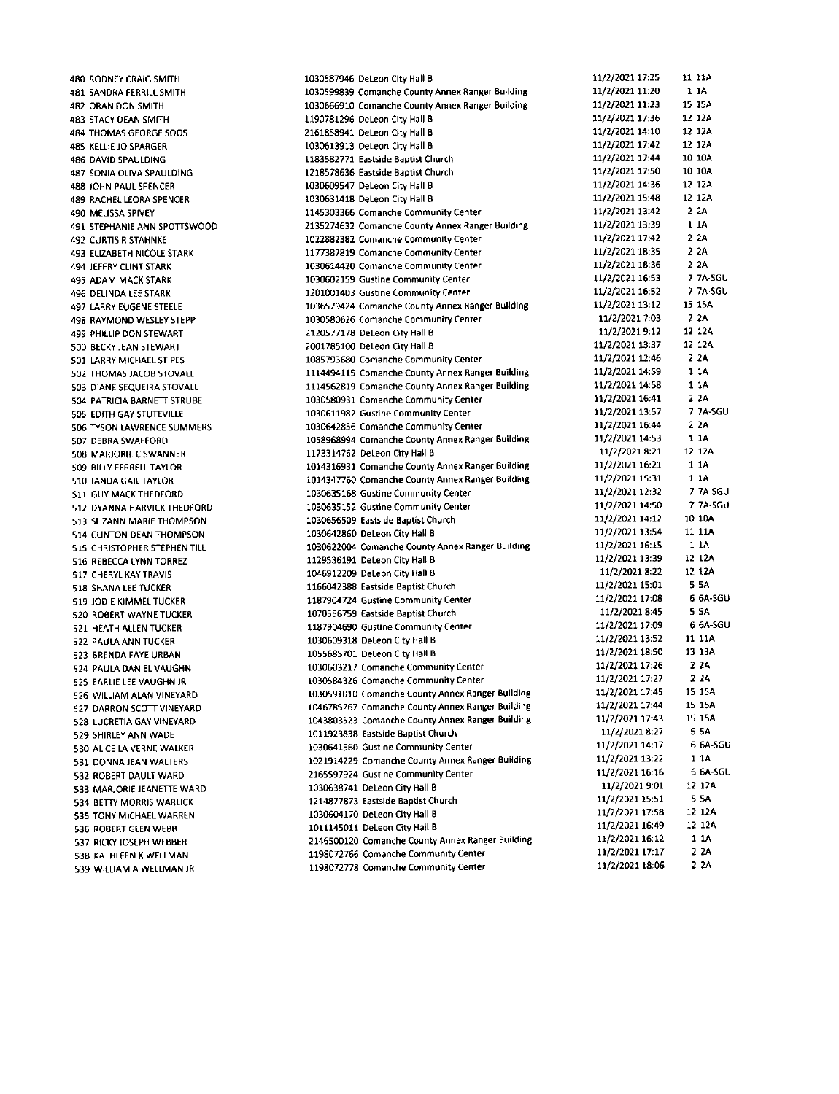480 RODNEY CRAIG SMITH 481 SANDRA FERRILL SMITH 482 ORAN OON SMITH 483 STACY DEAN SMITH 484 THOMAS GEORGE SOOS 485 XELLIEJO SPARGER 486 DAVID SPAULDING 487 SONIAOLIVA SPAULOING 488 JOHN PAUL SPENCER **489 RACHELI FORA SPENCER** 490 MELISSA SPIVEY 491 STEPHANIE ANN SPOTTSWOOD 492 CURTIS R STAHNKE **493 ELIZABETH NICOLE STARK** 494 JEFFRY CLINI STARK 495 ADAM MACK STARK 496 DELINDA LEE STARK **497 LARRY EUGENE STEELE** 498 RAYMOND WESLEY STEPP 499 PHILLIP DON STEWART 5OO BECKY IEAN STEWART 501 LARRY MICHAELSTIPES 502 THOMAS JACOB STOVALL 503 DIANE SEQUEIRASTOVALL 504 PATRICIA SARNETT STRUBE 505 EOITH GAY STUTEVILLE 506 TYSON LAWRENCE SUMMERS 507 DEBRA SWAFFORD 508 MAfuORIECSWANNER **509 BILLY FERRELL TAYLOR** 510 JANOA GAIL TAYLOR 511 GUY MACKTHEDFORD S12 DYANNA HARVICKTHEDFORD 513 SUZANN MARIETHOMPSON 514 CLINTON DEAN THOMPSON **515 CHRISTOPHER STEPHEN TILL** 516 REEECCA LYNN TORREZ 517 CHERYL KAY TRAVI5 **518 SHANA LEE TUCKER** 519 ]ODIE KIMMELTUCKER 520 ROBERT WAYNE TUCKER 521 HEATH ALLEN TUCKER 522 PAULA ANN TUCKER 523 SRENDA FAYE URBAN 524 PAULA DANIEL VAUGHN 525 EARIIE LEE VAUGHN JR 526 WILLIAM ALAN VINEYARD **527 DARRON SCOTT VINEYARD** 528 LUCRETIA GAY VINEYARD 529 SHIRLEY ANN WADE 530 ALICE LA VERNE WALKER 531 DONNAJEAN WALTERS 532 ROBERT DAULT WARD 533 MAfuORIE IEANETIE WARD 534 BETTY MORRIS WARLICK 535 TONY MICHAELWARREN 536 ROBERT GLEN WEBB 537 RICKY JOSEPH WEBSER 538 KATHLEEN K WELLMAN 539 WILLIAM A WELLMAN JR

1030587946 DeLeon City Hall B 1030599839 Comanche County Annex Ranger Building 1030666910 Comanche County Annex Ranger Building 1190781296 DeLeon City Hall B 2161858941 DeLeon City Hall B 1030613913 DeLeon City Hall B 1183582771 Eastside Baptist Church 1218578636 Eastside Baptist Church 1030609547 DeLeon city Hall B 1030631418 DeLeon City Hall B 1145303366 Comanche Community Center 2135274632 Comanche County Annex Ranger Building 1022882382 Comanche Communitycenter 1177387819 Comanche Community Center 1030614420 Comanche Community Center 1030502159 Gustine community Center 1201001403 Gustine Community Center 1036579424 Comanche County Annex Ranger Building 1030580626 Comanche CommunityCentet 2120577178 DeLeon City Hall B 2001785100 DeLeon City Hall B 10857935aO Comanche Community Center 1114494115 Comanche County Annex Ranger Building 1114562819 Comanche County Annex Ranger Building 1030580931 Comanche CommunityCenter 1030511982 Gustine Community center 103092856 Comanche community Center 1058968994 Comanche County Annex Ranger Building 1173314762 DeLeon City Hall B 1014316931 Comanche County Annex Ranger Building 101437750 Comanche County annex Ranger Euilding 1030635168 Gustine Community Center 1030635152 Gustine Community Center 1030556509 Eastside Baptist Church 1030642860 DeL€on City Hall B 1030622004 Comanche County Annex Ranger Building 1129535191 DeLeon city HallB 1046912209 DeLeon City Hall B 1166042388 Eastside Eaptist Church 1187904724 Gustine Community Center 1070556759 Eastside Baptist Church 1187904690 Gustine Community Center 1030609318 DeLeon City Hall B 1055685701 DeLeon City Hall B 1030603217 Comanche Community Center 1030584326 ComancheCommunityCenter 1030591010 Comanche County Annex Ranger Building 1046785267 Comanche County Annex Ranger Building 1043803523 Comanche County Annex Ranger Building 1011923838 Eastside Baptist Church 1030641560 Gustine Community Center 1021914229 Comanche County annex Ranger Building 2165597924 Gustine Community Center 1030638741 DeLeon City Hall B 1214877873 Eastside Baptist Church 1030604170 DeLeon City Hall B 1011145011 DeLeon City Hall B 2146500120 Comanche County Annex Ranger Building 1198072766 Comanche community Center 1198072778 Comanche Community Center

11/2/2021 17:25 11 11A<br>11/2/2021 11:20 1 1A 11/2/2021 11:20 1 1A<br>11/2/2021 11:23 15 15A 11/2/2021 11:23 15 15A<br>11/2/2021 17:36 12 12A 11/2/2021 17:36 12 12A<br>11/2/2021 14:10 12 12A 11/2/2021 14:10 12 12A<br>11/2/2021 17:42 12 12A 11/2/2021 17:42 12 12A<br>11/2/2021 17:44 10 10A 11/2/2021 17:44 10 10A<br>11/2/2021 17:50 10 10A 11/2/2021 17:50 11/2/2021 14:36 12 12A<br>11/2/2021 15:48 12 12A 11/2/2021 15:48 12 12/<br>11/2/2021 13:42 2 2A  $11/2/2021$  13:42 2 2A<br> $11/2/2021$  13:39 1 1A 11/2/2021 13:39 1 1A<br>11/2/2021 17:42 2 2A 11/2/2021 17:42 2 2A<br>11/2/2021 18:35 2 2A 11/2/2021 18:35 2 2A<br>11/2/2021 18:36 2 2A 11/2/2021 18:36 2 2A<br>11/2/2021 16:53 7 7A-SGU 11/2/2021 16:53 7 7A-SGU<br>11/2/2021 16:52 7 7A-SGU 11/2/2021 16:52 7 7A-S<br>11/2/2021 13:12 15 15A 11/2/2021 13:12 15 15<br>11/2/2021 7:03 2 2A 11/2/2021 7:03 2 2A<br>11/2/2021 9:12 12 12A 11/2/2021 9:12 12 12A<br>|1/2/2021 13:37 12 12A 11/2/2021 13:37 12 12/<br>11/2/2021 12:46 2 2A 11/2/2021 12:46 11/2/2021 14:59 1 1A 11/2/2021 14:58 1 11/2/2021 16:41 2 2A<br>11/2/2021 13:57 7 7A-SGU 11/2/2021 13:57 77A 11/2/2021 16:44 1\/2/202114:53 114 11/2/2021 8:21 12 12A<br>11/2/2021 16:21 11A 11/2/2021 16:21 1 1A<br>11/2/2021 15:31 1 1A 11/2/2021 15:31 1 1A<br>11/2/2021 12:32 7 7A-SGU 11/2/2021 12:32 7 7A-SGU<br>11/2/2021 14:50 7 7A-SGU 11/2/2021 14:50 77A-S<br>11/2/2021 14:12 10 10A 11/2/2021 14:12 10 10A<br>11/2/2021 13:54 11 11A 11/2/2021 13:54 11 11/<br>11/2/2021 16:15 1 1A 11/2/2021 16:15 1 1A<br>11/2/2021 13:39 12 12A 11/2/2021 13:39 12 12A<br>11/2/2021 8:22 12 12A 11/2/2021 8:22 12:12/<br>11/2/2021 15:01 5:5A 11/2/2021 15:01 5 5A<br>11/2/2021 17:08 6 6A-SGU 11/2/2021 17:08 11/2/2021 8:45 5 5A<br>11/2/2021 17:09 6 6A-SGU 11/2/2021 17:09 6 6A-S<br>11/2/2021 13:52 11 11A 11/2/2021 13:52 11 11A<br>11/2/2021 18:50 13:13A 11/2/2021 18:50 13 13/<br>11/2/2021 17:26 2 2A 11/2/2021 17:26 2 2A<br>11/2/2021 17:27 2 2A 11/2/2021 17:27 11/2/2021 17:45 15 15A<br>11/2/2021 17:44 15 15A 11/2/2021 17:44 15 15A<br>11/2/2021 17:43 15 15A 11/2/2021 17:43 11/2/2021 8:27 5 5A<br>11/2/2021 14:17 6 6A-SGU 11/2/2021 14:17 11/2/2021 13:22 1 1A<br>11/2/2021 16:16 6 6A-SGU 11/2/2021 16:16 66A-S<br>11/2/2021 9:01 12 12A 11/2/2021 9:01 12 12/<br>11/2/2021 15:51 5 5A 11/2/2021 15:51 55A<br>11/2/2021 17:58 12:12A 11/2/2021 17:58 12 12A<br>11/2/2021 16:49 12 12A 11/2/2021 16:49 12 12/<br>11/2/2021 16:12 1 1A 11/2/2021 16:12 1 1A<br>11/2/2021 17:17 2 2A 11/2/2021 17:17 11/2/2021 18:06 2 2A